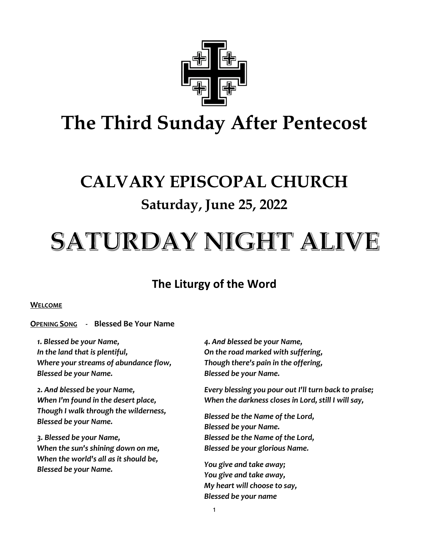

# **The Third Sunday After Pentecost**

# **CALVARY EPISCOPAL CHURCH Saturday, June 25, 2022**

# **SATURDAY NIGHT ALIVE**

# **The Liturgy of the Word**

#### **WELCOME**

#### **OPENING SONG - Blessed Be Your Name**

*1. Blessed be your Name, In the land that is plentiful, Where your streams of abundance flow, Blessed be your Name.* 

*2. And blessed be your Name, When I'm found in the desert place, Though I walk through the wilderness, Blessed be your Name.* 

*3. Blessed be your Name, When the sun's shining down on me, When the world's all as it should be, Blessed be your Name.* 

*4. And blessed be your Name, On the road marked with suffering, Though there's pain in the offering, Blessed be your Name.* 

*Every blessing you pour out I'll turn back to praise; When the darkness closes in Lord, still I will say,*

*Blessed be the Name of the Lord, Blessed be your Name. Blessed be the Name of the Lord, Blessed be your glorious Name.* 

*You give and take away; You give and take away, My heart will choose to say, Blessed be your name*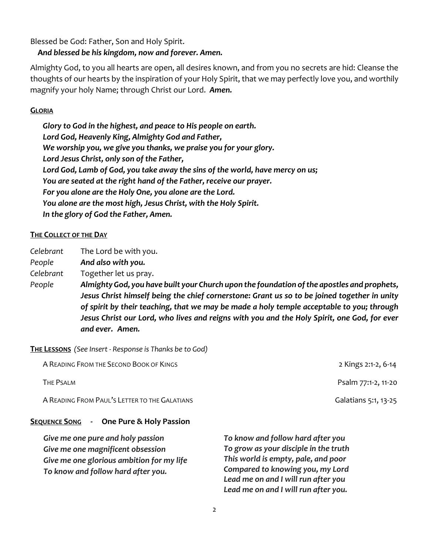#### Blessed be God: Father, Son and Holy Spirit.  **A***nd blessed be his kingdom, now and forever. Amen.*

Almighty God, to you all hearts are open, all desires known, and from you no secrets are hid: Cleanse the thoughts of our hearts by the inspiration of your Holy Spirit, that we may perfectly love you, and worthily magnify your holy Name; through Christ our Lord.*Amen.*

#### **GLORIA**

*Glory to God in the highest, and peace to His people on earth. Lord God, Heavenly King, Almighty God and Father, We worship you, we give you thanks, we praise you for your glory. Lord Jesus Christ, only son of the Father, Lord God, Lamb of God, you take away the sins of the world, have mercy on us; You are seated at the right hand of the Father, receive our prayer. For you alone are the Holy One, you alone are the Lord. You alone are the most high, Jesus Christ, with the Holy Spirit. In the glory of God the Father, Amen.* 

#### **THE COLLECT OF THE DAY**

- *Celebrant* The Lord be with you.
- *People And also with you.*

*Celebrant* Together let us pray.

*People Almighty God, you have built your Church upon the foundation of the apostles and prophets, Jesus Christ himself being the chief cornerstone: Grant us so to be joined together in unity of spirit by their teaching, that we may be made a holy temple acceptable to you; through Jesus Christ our Lord, who lives and reigns with you and the Holy Spirit, one God, for ever and ever. Amen.*

**THE LESSONS** *(See Insert - Response is Thanks be to God)*

| A READING FROM THE SECOND BOOK OF KINGS       | 2 Kings 2:1-2, 6-14  |
|-----------------------------------------------|----------------------|
| THE PSALM                                     | Psalm 77:1-2, 11-20  |
| A READING FROM PAUL'S LETTER TO THE GALATIANS | Galatians 5:1, 13-25 |

#### **SEQUENCE SONG - One Pure & Holy Passion**

*Give me one pure and holy passion Give me one magnificent obsession Give me one glorious ambition for my life To know and follow hard after you.*

*To know and follow hard after you To grow as your disciple in the truth This world is empty, pale, and poor Compared to knowing you, my Lord Lead me on and I will run after you Lead me on and I will run after you.*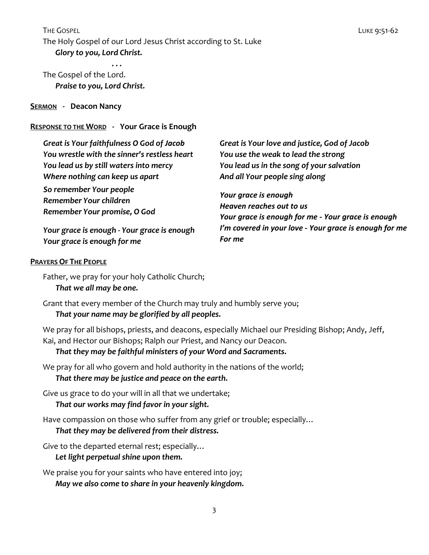THE GOSPEL **Example 2:51-62** The Holy Gospel of our Lord Jesus Christ according to St. Luke  *Glory to you, Lord Christ.*

 *. . .* The Gospel of the Lord. *Praise to you, Lord Christ.*

**SERMON - Deacon Nancy**

**RESPONSE TO THE WORD - Your Grace is Enough**

| Great is Your faithfulness O God of Jacob                                         | Great is Your love and justice, God of Jacob                                                           |
|-----------------------------------------------------------------------------------|--------------------------------------------------------------------------------------------------------|
| You wrestle with the sinner's restless heart                                      | You use the weak to lead the strong                                                                    |
| You lead us by still waters into mercy                                            | You lead us in the song of your salvation                                                              |
| Where nothing can keep us apart                                                   | And all Your people sing along                                                                         |
| So remember Your people<br>Remember Your children<br>Remember Your promise, O God | Your grace is enough<br>Heaven reaches out to us<br>Your grace is enough for me - Your grace is enough |
| Your grace is enough - Your grace is enough<br>Your grace is enough for me        | I'm covered in your love - Your grace is enough for me<br>For me                                       |

#### **PRAYERS OF THE PEOPLE**

Father, we pray for your holy Catholic Church; *That we all may be one.*

Grant that every member of the Church may truly and humbly serve you; *That your name may be glorified by all peoples.*

We pray for all bishops, priests, and deacons, especially Michael our Presiding Bishop; Andy, Jeff, Kai, and Hector our Bishops; Ralph our Priest, and Nancy our Deacon.

*That they may be faithful ministers of your Word and Sacraments.*

We pray for all who govern and hold authority in the nations of the world; *That there may be justice and peace on the earth.*

Give us grace to do your will in all that we undertake;

*That our works may find favor in your sight.*

Have compassion on those who suffer from any grief or trouble; especially…

#### *That they may be delivered from their distress.*

Give to the departed eternal rest; especially…

#### *Let light perpetual shine upon them.*

We praise you for your saints who have entered into joy;

*May we also come to share in your heavenly kingdom.*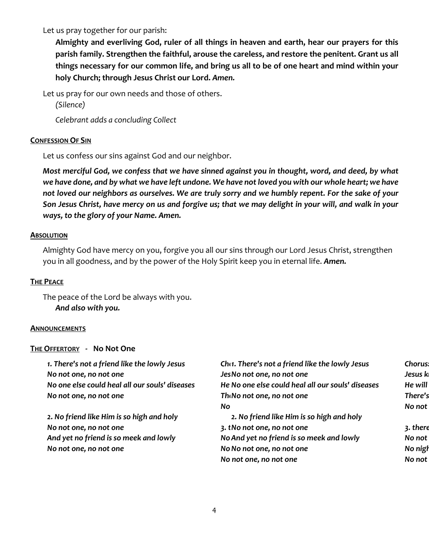Let us pray together for our parish:

**Almighty and everliving God, ruler of all things in heaven and earth, hear our prayers for this parish family. Strengthen the faithful, arouse the careless, and restore the penitent. Grant us all things necessary for our common life, and bring us all to be of one heart and mind within your holy Church; through Jesus Christ our Lord.** *Amen.*

Let us pray for our own needs and those of others.

*(Silence)* 

*Celebrant adds a concluding Collect*

#### **CONFESSION OF SIN**

Let us confess our sins against God and our neighbor.

*Most merciful God, we confess that we have sinned against you in thought, word, and deed, by what we have done, and by what we have left undone. We have not loved you with our whole heart; we have not loved our neighbors as ourselves. We are truly sorry and we humbly repent. For the sake of your Son Jesus Christ, have mercy on us and forgive us; that we may delight in your will, and walk in your ways, to the glory of your Name. Amen.*

#### **ABSOLUTION**

Almighty God have mercy on you, forgive you all our sins through our Lord Jesus Christ, strengthen you in all goodness, and by the power of the Holy Spirit keep you in eternal life. *Amen.*

#### **THE PEACE**

The peace of the Lord be always with you. *And also with you.*

#### **ANNOUNCEMENTS**

#### **THE OFFERTORY - No Not One**

| 1. There's not a friend like the lowly Jesus   | Ch <sub>(1</sub> , There's not a friend like the lowly Jesus | <b>Chorus:</b> |
|------------------------------------------------|--------------------------------------------------------------|----------------|
| No not one, no not one                         | JesNo not one, no not one                                    | Jesus k        |
| No one else could heal all our souls' diseases | He No one else could heal all our souls' diseases            | He will        |
| No not one, no not one                         | The No not one, no not one                                   | There's        |
|                                                | No                                                           | No not         |
| 2. No friend like Him is so high and holy      | 2. No friend like Him is so high and holy                    |                |
| No not one, no not one                         | 3. tNo not one, no not one                                   | 3. there       |
| And yet no friend is so meek and lowly         | No And yet no friend is so meek and lowly                    | No not         |
| No not one, no not one                         | No No not one, no not one                                    | No nigh        |
|                                                | No not one, no not one                                       | No not         |
|                                                |                                                              |                |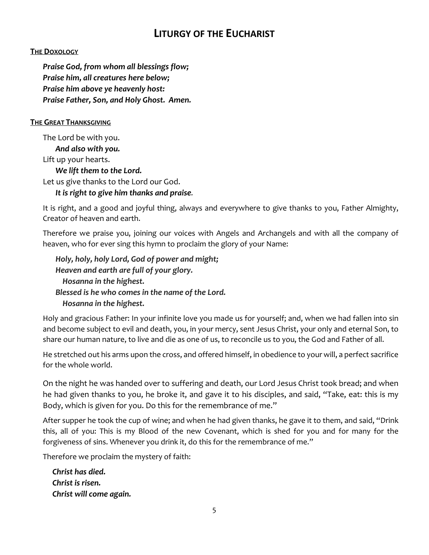# **LITURGY OF THE EUCHARIST**

#### **THE DOXOLOGY**

*Praise God, from whom all blessings flow; Praise him, all creatures here below; Praise him above ye heavenly host: Praise Father, Son, and Holy Ghost. Amen.* 

#### **THE GREAT THANKSGIVING**

The Lord be with you. *And also with you.* Lift up your hearts. *We lift them to the Lord.* Let us give thanks to the Lord our God. *It is right to give him thanks and praise.* 

It is right, and a good and joyful thing, always and everywhere to give thanks to you, Father Almighty, Creator of heaven and earth.

Therefore we praise you, joining our voices with Angels and Archangels and with all the company of heaven, who for ever sing this hymn to proclaim the glory of your Name:

*Holy, holy, holy Lord, God of power and might; Heaven and earth are full of your glory. Hosanna in the highest. Blessed is he who comes in the name of the Lord. Hosanna in the highest.* 

Holy and gracious Father: In your infinite love you made us for yourself; and, when we had fallen into sin and become subject to evil and death, you, in your mercy, sent Jesus Christ, your only and eternal Son, to share our human nature, to live and die as one of us, to reconcile us to you, the God and Father of all.

He stretched out his arms upon the cross, and offered himself, in obedience to your will, a perfect sacrifice for the whole world.

On the night he was handed over to suffering and death, our Lord Jesus Christ took bread; and when he had given thanks to you, he broke it, and gave it to his disciples, and said, "Take, eat: this is my Body, which is given for you. Do this for the remembrance of me."

After supper he took the cup of wine; and when he had given thanks, he gave it to them, and said, "Drink this, all of you: This is my Blood of the new Covenant, which is shed for you and for many for the forgiveness of sins. Whenever you drink it, do this for the remembrance of me."

Therefore we proclaim the mystery of faith:

*Christ has died. Christ is risen. Christ will come again.*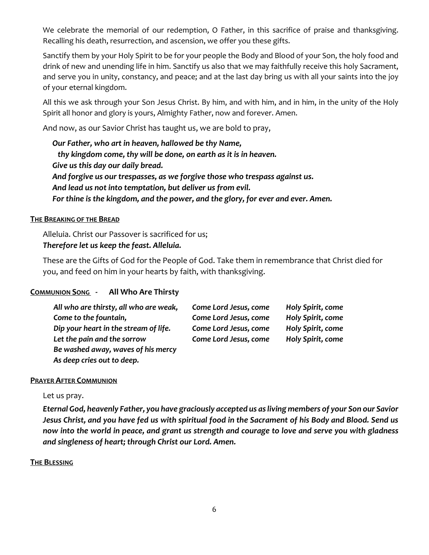We celebrate the memorial of our redemption, O Father, in this sacrifice of praise and thanksgiving. Recalling his death, resurrection, and ascension, we offer you these gifts.

Sanctify them by your Holy Spirit to be for your people the Body and Blood of your Son, the holy food and drink of new and unending life in him. Sanctify us also that we may faithfully receive this holy Sacrament, and serve you in unity, constancy, and peace; and at the last day bring us with all your saints into the joy of your eternal kingdom.

All this we ask through your Son Jesus Christ. By him, and with him, and in him, in the unity of the Holy Spirit all honor and glory is yours, Almighty Father, now and forever. Amen.

And now, as our Savior Christ has taught us, we are bold to pray,

*Our Father, who art in heaven, hallowed be thy Name, thy kingdom come, thy will be done, on earth as it is in heaven. Give us this day our daily bread. And forgive us our trespasses, as we forgive those who trespass against us. And lead us not into temptation, but deliver us from evil. For thine is the kingdom, and the power, and the glory, for ever and ever. Amen.*

#### **THE BREAKING OF THE BREAD**

Alleluia. Christ our Passover is sacrificed for us; *Therefore let us keep the feast. Alleluia.*

These are the Gifts of God for the People of God. Take them in remembrance that Christ died for you, and feed on him in your hearts by faith, with thanksgiving.

#### **COMMUNION SONG - All Who Are Thirsty**

| All who are thirsty, all who are weak, | Come Lord Jesus, come | Holy Spirit, come |
|----------------------------------------|-----------------------|-------------------|
| Come to the fountain,                  | Come Lord Jesus, come | Holy Spirit, come |
| Dip your heart in the stream of life.  | Come Lord Jesus, come | Holy Spirit, come |
| Let the pain and the sorrow            | Come Lord Jesus, come | Holy Spirit, come |
| Be washed away, waves of his mercy     |                       |                   |
| As deep cries out to deep.             |                       |                   |

#### **PRAYER AFTER COMMUNION**

#### Let us pray.

*Eternal God, heavenly Father, you have graciously accepted us as living members of your Son our Savior Jesus Christ, and you have fed us with spiritual food in the Sacrament of his Body and Blood. Send us now into the world in peace, and grant us strength and courage to love and serve you with gladness and singleness of heart; through Christ our Lord. Amen.*

#### **THE BLESSING**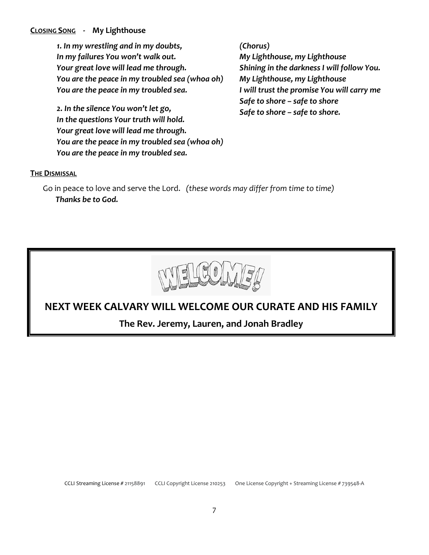#### **CLOSING SONG - My Lighthouse**

*1. In my wrestling and in my doubts, In my failures You won't walk out. Your great love will lead me through. You are the peace in my troubled sea (whoa oh) You are the peace in my troubled sea.*

*2. In the silence You won't let go, In the questions Your truth will hold. Your great love will lead me through. You are the peace in my troubled sea (whoa oh) You are the peace in my troubled sea.*

*(Chorus)*

*My Lighthouse, my Lighthouse Shining in the darkness I will follow You. My Lighthouse, my Lighthouse I will trust the promise You will carry me Safe to shore – safe to shore Safe to shore – safe to shore.*

#### **THE DISMISSAL**

Go in peace to love and serve the Lord. *(these words may differ from time to time) Thanks be to God.* 



## **NEXT WEEK CALVARY WILL WELCOME OUR CURATE AND HIS FAMILY**

**The Rev. Jeremy, Lauren, and Jonah Bradley**